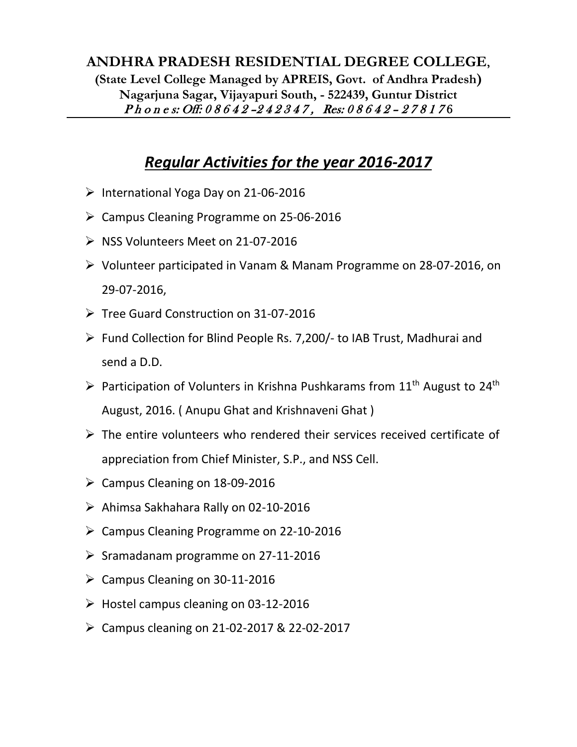## **ANDHRA PRADESH RESIDENTIAL DEGREE COLLEGE, (State Level College Managed by APREIS, Govt. of Andhra Pradesh) Nagarjuna Sagar, Vijayapuri South, - 522439, Guntur District** Phones: Off: 08642-242347, Res: 08642-278176

## *Regular Activities for the year 2016-2017*

- ➢ International Yoga Day on 21-06-2016
- ➢ Campus Cleaning Programme on 25-06-2016
- ➢ NSS Volunteers Meet on 21-07-2016
- ➢ Volunteer participated in Vanam & Manam Programme on 28-07-2016, on 29-07-2016,
- ➢ Tree Guard Construction on 31-07-2016
- ➢ Fund Collection for Blind People Rs. 7,200/- to IAB Trust, Madhurai and send a D.D.
- $\triangleright$  Participation of Volunters in Krishna Pushkarams from 11<sup>th</sup> August to 24<sup>th</sup> August, 2016. ( Anupu Ghat and Krishnaveni Ghat )
- $\triangleright$  The entire volunteers who rendered their services received certificate of appreciation from Chief Minister, S.P., and NSS Cell.
- $\geq$  Campus Cleaning on 18-09-2016
- ➢ Ahimsa Sakhahara Rally on 02-10-2016
- ➢ Campus Cleaning Programme on 22-10-2016
- ➢ Sramadanam programme on 27-11-2016
- $\triangleright$  Campus Cleaning on 30-11-2016
- $\triangleright$  Hostel campus cleaning on 03-12-2016
- ➢ Campus cleaning on 21-02-2017 & 22-02-2017